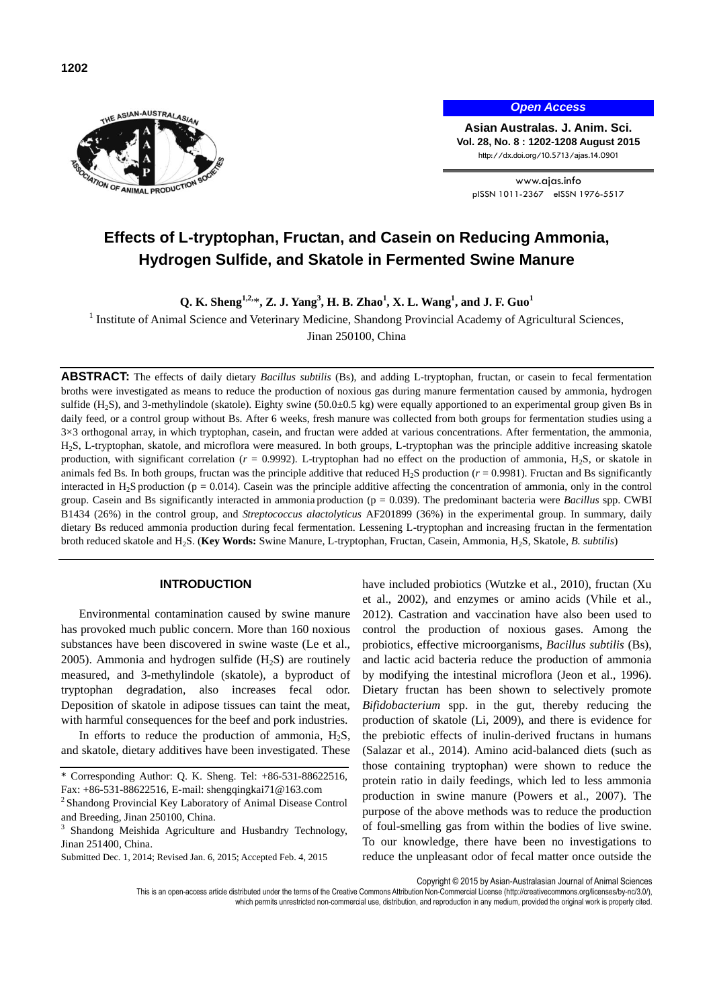

*Open Access*

**Asian Australas. J. Anim. Sci. Vol. 28, No. 8 : 1202-1208 August 2015** http://dx.doi.org/10.5713/ajas.14.0901

www.ajas.info pISSN 1011-2367 eISSN 1976-5517

# **Effects of L-tryptophan, Fructan, and Casein on Reducing Ammonia, Hydrogen Sulfide, and Skatole in Fermented Swine Manure**

**Q. K. Sheng1,2,**\***, Z. J. Yang<sup>3</sup> , H. B. Zhao<sup>1</sup> , X. L. Wang<sup>1</sup> , and J. F. Guo<sup>1</sup>**

<sup>1</sup> Institute of Animal Science and Veterinary Medicine, Shandong Provincial Academy of Agricultural Sciences,

Jinan 250100, China

**ABSTRACT:** The effects of daily dietary *Bacillus subtilis* (Bs), and adding L-tryptophan, fructan, or casein to fecal fermentation broths were investigated as means to reduce the production of noxious gas during manure fermentation caused by ammonia, hydrogen sulfide  $(H_2S)$ , and 3-methylindole (skatole). Eighty swine  $(50.0\pm0.5 \text{ kg})$  were equally apportioned to an experimental group given Bs in daily feed, or a control group without Bs. After 6 weeks, fresh manure was collected from both groups for fermentation studies using a 3×3 orthogonal array, in which tryptophan, casein, and fructan were added at various concentrations. After fermentation, the ammonia, H2S, L-tryptophan, skatole, and microflora were measured. In both groups, L-tryptophan was the principle additive increasing skatole production, with significant correlation ( $r = 0.9992$ ). L-tryptophan had no effect on the production of ammonia, H<sub>2</sub>S, or skatole in animals fed Bs. In both groups, fructan was the principle additive that reduced  $H_2S$  production ( $r = 0.9981$ ). Fructan and Bs significantly interacted in H<sub>2</sub>S production ( $p = 0.014$ ). Casein was the principle additive affecting the concentration of ammonia, only in the control group. Casein and Bs significantly interacted in ammonia production (p = 0.039). The predominant bacteria were *Bacillus* spp. CWBI B1434 (26%) in the control group, and *Streptococcus alactolyticus* AF201899 (36%) in the experimental group. In summary, daily dietary Bs reduced ammonia production during fecal fermentation. Lessening L-tryptophan and increasing fructan in the fermentation broth reduced skatole and H2S. (**Key Words:** Swine Manure, L-tryptophan, Fructan, Casein, Ammonia, H2S, Skatole, *B. subtilis*)

## **INTRODUCTION**

Environmental contamination caused by swine manure has provoked much public concern. More than 160 noxious substances have been discovered in swine waste (Le et al., 2005). Ammonia and hydrogen sulfide  $(H_2S)$  are routinely measured, and 3-methylindole (skatole), a byproduct of tryptophan degradation, also increases fecal odor. Deposition of skatole in adipose tissues can taint the meat, with harmful consequences for the beef and pork industries.

In efforts to reduce the production of ammonia,  $H_2S$ , and skatole, dietary additives have been investigated. These have included probiotics (Wutzke et al., 2010), fructan (Xu et al., 2002), and enzymes or amino acids (Vhile et al., 2012). Castration and vaccination have also been used to control the production of noxious gases. Among the probiotics, effective microorganisms, *Bacillus subtilis* (Bs), and lactic acid bacteria reduce the production of ammonia by modifying the intestinal microflora (Jeon et al., 1996). Dietary fructan has been shown to selectively promote *Bifidobacterium* spp. in the gut, thereby reducing the production of skatole (Li, 2009), and there is evidence for the prebiotic effects of inulin-derived fructans in humans (Salazar et al., 2014). Amino acid-balanced diets (such as those containing tryptophan) were shown to reduce the protein ratio in daily feedings, which led to less ammonia production in swine manure (Powers et al., 2007). The purpose of the above methods was to reduce the production of foul-smelling gas from within the bodies of live swine. To our knowledge, there have been no investigations to reduce the unpleasant odor of fecal matter once outside the

Copyright © 2015 by Asian-Australasian Journal of Animal Sciences

This is an open-access article distributed under the terms of the Creative Commons Attribution Non-Commercial License [\(http://creativecommons.org/licenses/by-nc/3.0/\),](http://creativecommons.org/licenses/by-nc/3.0/) which permits unrestricted non-commercial use, distribution, and reproduction in any medium, provided the original work is properly cited.

<sup>\*</sup> Corresponding Author: Q. K. Sheng. Tel: +86-531-88622516, Fax: +86-531-88622516, E-mail[: shengqingkai71@163.com](mailto:qksheng@163.com)

<sup>&</sup>lt;sup>2</sup> Shandong Provincial Key Laboratory of Animal Disease Control and Breeding, Jinan 250100, China.

<sup>3</sup> Shandong Meishida Agriculture and Husbandry Technology, Jinan 251400, China.

Submitted Dec. 1, 2014; Revised Jan. 6, 2015; Accepted Feb. 4, 2015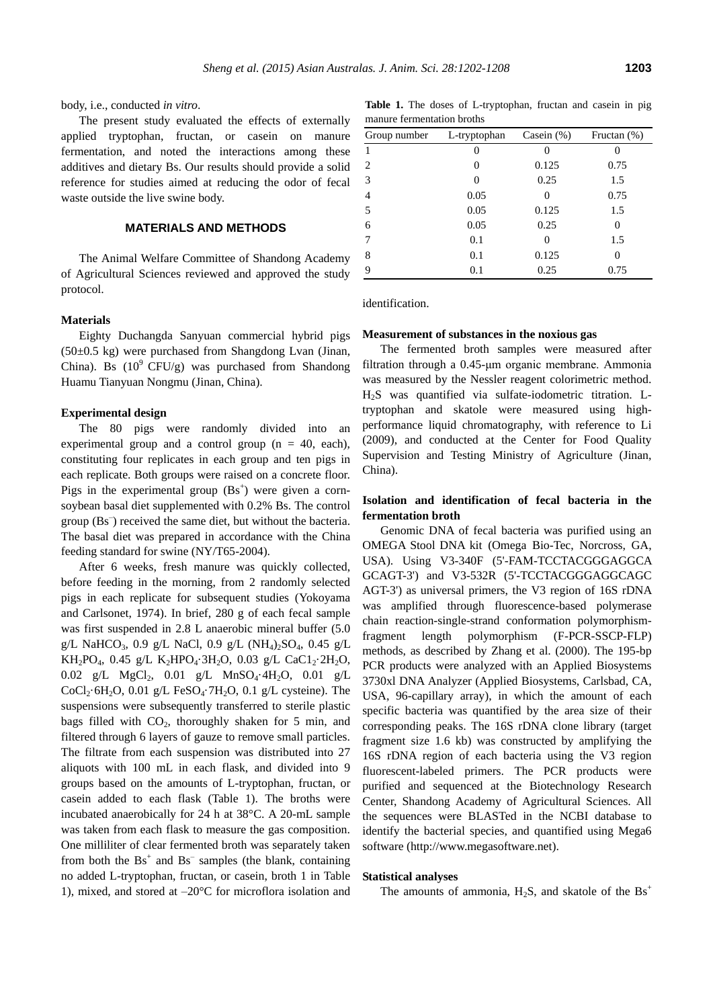body, i.e., conducted *in vitro*.

The present study evaluated the effects of externally applied tryptophan, fructan, or casein on manure fermentation, and noted the interactions among these additives and dietary Bs. Our results should provide a solid reference for studies aimed at reducing the odor of fecal waste outside the live swine body.

#### **MATERIALS AND METHODS**

The Animal Welfare Committee of Shandong Academy of Agricultural Sciences reviewed and approved the study protocol.

#### **Materials**

Eighty Duchangda Sanyuan commercial hybrid pigs  $(50\pm0.5 \text{ kg})$  were purchased from Shangdong Lvan (Jinan, China). Bs  $(10^9 \text{ CFU/g})$  was purchased from Shandong Huamu Tianyuan Nongmu (Jinan, China).

#### **Experimental design**

The 80 pigs were randomly divided into an experimental group and a control group  $(n = 40, \text{ each})$ , constituting four replicates in each group and ten pigs in each replicate. Both groups were raised on a concrete floor. Pigs in the experimental group  $(Bs<sup>+</sup>)$  were given a cornsoybean basal diet supplemented with 0.2% Bs. The control group (Bs– ) received the same diet, but without the bacteria. The basal diet was prepared in accordance with the China feeding standard for swine (NY/T65-2004).

After 6 weeks, fresh manure was quickly collected, before feeding in the morning, from 2 randomly selected pigs in each replicate for subsequent studies (Yokoyama and Carlsonet, 1974). In brief, 280 g of each fecal sample was first suspended in 2.8 L anaerobic mineral buffer (5.0 g/L NaHCO<sub>3</sub>, 0.9 g/L NaCl, 0.9 g/L (NH<sub>4</sub>)<sub>2</sub>SO<sub>4</sub>, 0.45 g/L KH<sub>2</sub>PO<sub>4</sub>, 0.45 g/L K<sub>2</sub>HPO<sub>4</sub>·3H<sub>2</sub>O, 0.03 g/L CaC1<sub>2</sub>·2H<sub>2</sub>O, 0.02 g/L MgCl<sub>2</sub>, 0.01 g/L MnSO<sub>4</sub>·4H<sub>2</sub>O, 0.01 g/L CoCl<sub>2</sub>·6H<sub>2</sub>O, 0.01 g/L FeSO<sub>4</sub>·7H<sub>2</sub>O, 0.1 g/L cysteine). The suspensions were subsequently transferred to sterile plastic bags filled with  $CO<sub>2</sub>$ , thoroughly shaken for 5 min, and filtered through 6 layers of gauze to remove small particles. The filtrate from each suspension was distributed into 27 aliquots with 100 mL in each flask, and divided into 9 groups based on the amounts of L-tryptophan, fructan, or casein added to each flask (Table 1). The broths were incubated anaerobically for 24 h at 38°C. A 20-mL sample was taken from each flask to measure the gas composition. One milliliter of clear fermented broth was separately taken from both the  $\text{Bs}^+$  and  $\text{Bs}^-$  samples (the blank, containing no added L-tryptophan, fructan, or casein, broth 1 in Table 1), mixed, and stored at –20°C for microflora isolation and

**Table 1.** The doses of L-tryptophan, fructan and casein in pig manure fermentation broths

| Group number | L-tryptophan | Casein $(\%)$ | Fructan $(\%)$ |
|--------------|--------------|---------------|----------------|
| 1            |              |               |                |
| 2            | 0            | 0.125         | 0.75           |
| 3            | 0            | 0.25          | 1.5            |
| 4            | 0.05         | 0             | 0.75           |
| 5            | 0.05         | 0.125         | 1.5            |
| 6            | 0.05         | 0.25          | 0              |
| 7            | 0.1          | $\theta$      | 1.5            |
| 8            | 0.1          | 0.125         |                |
| 9            | 0.1          | 0.25          | 0.75           |

identification.

#### **Measurement of substances in the noxious gas**

The fermented broth samples were measured after filtration through a 0.45-μm organic membrane. Ammonia was measured by the Nessler reagent colorimetric method. H2S was quantified via sulfate-iodometric titration. Ltryptophan and skatole were measured using highperformance liquid chromatography, with reference to Li (2009), and conducted at the Center for Food Quality Supervision and Testing Ministry of Agriculture (Jinan, China).

## **Isolation and identification of fecal bacteria in the fermentation broth**

Genomic DNA of fecal bacteria was purified using an OMEGA Stool DNA kit (Omega Bio-Tec, Norcross, GA, USA). Using V3-340F (5'-FAM-TCCTACGGGAGGCA GCAGT-3') and V3-532R (5'-TCCTACGGGAGGCAGC AGT-3') as universal primers, the V3 region of 16S rDNA was amplified through fluorescence-based polymerase chain reaction-single-strand conformation polymorphismfragment length polymorphism (F-PCR-SSCP-FLP) methods, as described by Zhang et al. (2000). The 195-bp PCR products were analyzed with an Applied Biosystems 3730xl DNA Analyzer (Applied Biosystems, Carlsbad, CA, USA, 96-capillary array), in which the amount of each specific bacteria was quantified by the area size of their corresponding peaks. The 16S rDNA clone library (target fragment size 1.6 kb) was constructed by amplifying the 16S rDNA region of each bacteria using the V3 region fluorescent-labeled primers. The PCR products were purified and sequenced at the Biotechnology Research Center, Shandong Academy of Agricultural Sciences. All the sequences were BLASTed in the NCBI database to identify the bacterial species, and quantified using Mega6 software (http://www.megasoftware.net).

#### **Statistical analyses**

The amounts of ammonia,  $H_2S$ , and skatole of the  $Bs^+$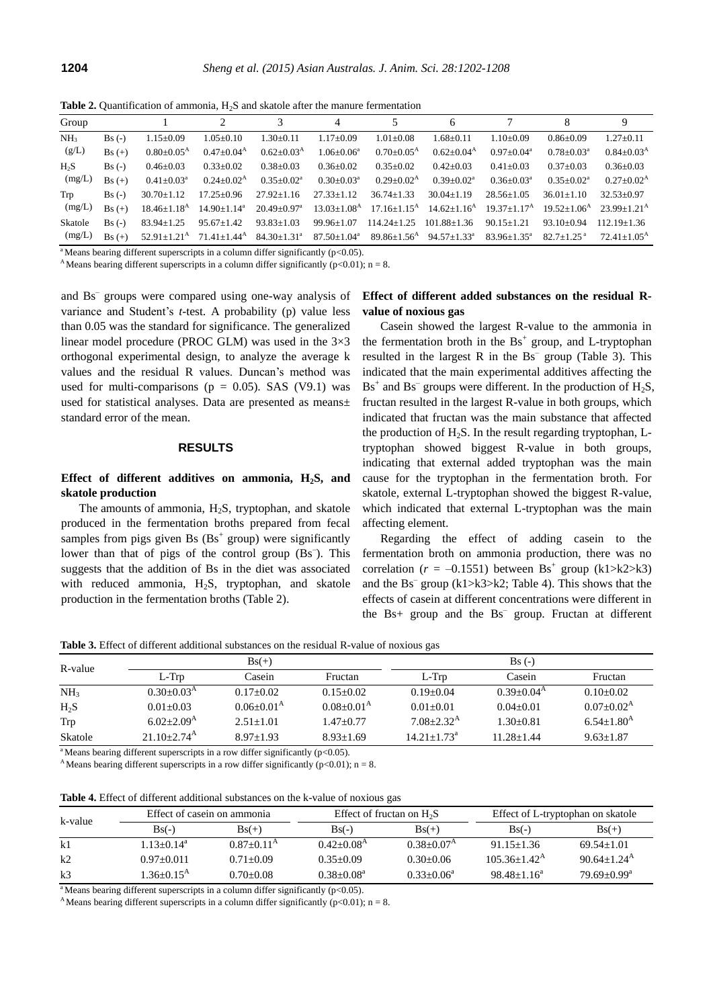**Table 2.** Quantification of ammonia, H<sub>2</sub>S and skatole after the manure fermentation

| Group           |          |                            |                          |                               | 4                        |                               | 6                             |                            |                            |                         |
|-----------------|----------|----------------------------|--------------------------|-------------------------------|--------------------------|-------------------------------|-------------------------------|----------------------------|----------------------------|-------------------------|
| NH <sub>3</sub> | $Bs(-)$  | $1.15 \pm 0.09$            | $1.05 \pm 0.10$          | $1.30 \pm 0.11$               | $1.17+0.09$              | $1.01 \pm 0.08$               | $1.68 \pm 0.11$               | $1.10+0.09$                | $0.86 \pm 0.09$            | $1.27 \pm 0.11$         |
| (g/L)           | $Bs (+)$ | $0.80 \pm 0.05^{\text{A}}$ | $0.47 \pm 0.04^{\rm A}$  | $0.62 \pm 0.03^{\rm A}$       | $1.06 \pm 0.06^a$        | $0.70 \pm 0.05^{\text{A}}$    | $0.62 \pm 0.04^{\rm A}$       | $0.97+0.04^a$              | $0.78 \pm 0.03^{\text{a}}$ | $0.84 \pm 0.03^{\rm A}$ |
| $H_2S$          | $Bs(-)$  | $0.46 \pm 0.03$            | $0.33 \pm 0.02$          | $0.38 \pm 0.03$               | $0.36 \pm 0.02$          | $0.35 \pm 0.02$               | $0.42+0.03$                   | $0.41 + 0.03$              | $0.37+0.03$                | $0.36 \pm 0.03$         |
| (mg/L)          | $Bs (+)$ | $0.41 + 0.03^a$            | $0.24 \pm 0.02^{\rm A}$  | $0.35 \pm 0.02^a$             | $0.30+0.03^a$            | $0.29 \pm 0.02^{\rm A}$       | $0.39+0.02^a$                 | $0.36 \pm 0.03^{\text{a}}$ | $0.35 \pm 0.02^{\text{a}}$ | $0.27 \pm 0.02^{\rm A}$ |
| Trp             | $Bs(-)$  | $30.70 \pm 1.12$           | $17.25 \pm 0.96$         | $27.92 + 1.16$                | $27.33 + 1.12$           | $36.74 + 1.33$                | $30.04 + 1.19$                | $28.56 + 1.05$             | $36.01 + 1.10$             | $32.53+0.97$            |
| (mg/L)          | $Bs (+)$ | $18.46 \pm 1.18^{\rm A}$   | $14.90 \pm 1.14^a$       | $20.49 + 0.97$ <sup>a</sup>   | $13.03+1.08A$            | $17.16 + 1.15^{\text{A}}$     | $14.62+1.16^{\rm A}$          | $19.37 + 1.17A$            | $19.52 + 1.06A$            | $23.99+1.21^{\text{A}}$ |
| Skatole         | $Bs(-)$  | $83.94 \pm 1.25$           | $95.67 \pm 1.42$         | $93.83 + 1.03$                | $99.96 + 1.07$           | $114.24 + 1.25$               | $101.88 + 1.36$               | $90.15 + 1.21$             | $93.10+0.94$               | 112.19+1.36             |
| (mg/L)          | $Bs(+)$  | $52.91 + 1.21^{\text{A}}$  | $71.41 \pm 1.44^{\rm A}$ | $84.30 \pm 1.31$ <sup>a</sup> | $87.50 \pm 1.04^{\circ}$ | $89.86 \pm 1.56$ <sup>A</sup> | $94.57 \pm 1.33$ <sup>a</sup> | $83.96 \pm 1.35^{\circ}$   | $82.7 + 1.25$ <sup>a</sup> | $72.41 + 1.05A$         |

<sup>a</sup> Means bearing different superscripts in a column differ significantly ( $p<0.05$ ).

<sup>A</sup>Means bearing different superscripts in a column differ significantly ( $p<0.01$ ); n = 8.

and Bs– groups were compared using one-way analysis of variance and Student's *t*-test. A probability (p) value less than 0.05 was the standard for significance. The generalized linear model procedure (PROC GLM) was used in the  $3\times3$ orthogonal experimental design, to analyze the average k values and the residual R values. Duncan's method was used for multi-comparisons ( $p = 0.05$ ). SAS (V9.1) was used for statistical analyses. Data are presented as means± standard error of the mean.

#### **RESULTS**

# **Effect of different additives on ammonia, H2S, and skatole production**

The amounts of ammonia,  $H_2S$ , tryptophan, and skatole produced in the fermentation broths prepared from fecal samples from pigs given Bs  $(Bs<sup>+</sup> group)$  were significantly lower than that of pigs of the control group (Bs<sup>-</sup>). This suggests that the addition of Bs in the diet was associated with reduced ammonia,  $H_2S$ , tryptophan, and skatole production in the fermentation broths (Table 2).

## **Effect of different added substances on the residual Rvalue of noxious gas**

Casein showed the largest R-value to the ammonia in the fermentation broth in the  $\text{Bs}^+$  group, and L-tryptophan resulted in the largest  $R$  in the  $Bs^-$  group (Table 3). This indicated that the main experimental additives affecting the  $Bs<sup>+</sup>$  and  $Bs<sup>-</sup>$  groups were different. In the production of H<sub>2</sub>S, fructan resulted in the largest R-value in both groups, which indicated that fructan was the main substance that affected the production of  $H_2S$ . In the result regarding tryptophan, Ltryptophan showed biggest R-value in both groups, indicating that external added tryptophan was the main cause for the tryptophan in the fermentation broth. For skatole, external L-tryptophan showed the biggest R-value, which indicated that external L-tryptophan was the main affecting element.

Regarding the effect of adding casein to the fermentation broth on ammonia production, there was no correlation ( $r = -0.1551$ ) between Bs<sup>+</sup> group (k1>k2>k3) and the Bs– group (k1>k3>k2; Table 4). This shows that the effects of casein at different concentrations were different in the  $Bs$ + group and the  $Bs^-$  group. Fructan at different

**Table 3.** Effect of different additional substances on the residual R-value of noxious gas

| R-value         |                        | $Bs(+)$        |                | $Bs(-)$               |                |                     |
|-----------------|------------------------|----------------|----------------|-----------------------|----------------|---------------------|
|                 | $L-Trp$                | Casein         | Fructan        | $L-Trp$               | Casein         | Fructan             |
| NH <sub>3</sub> | $0.30+0.03A$           | $0.17+0.02$    | $0.15+0.02$    | $0.19 + 0.04$         | $0.39+0.04A$   | $0.10+0.02$         |
| $H_2S$          | $0.01 + 0.03$          | $0.06 + 0.01A$ | $0.08 + 0.01A$ | $0.01 + 0.01$         | $0.04 + 0.01$  | $0.07+0.02^{\rm A}$ |
| Trp             | $6.02 + 2.09A$         | $2.51 + 1.01$  | $1.47+0.77$    | $7.08 + 2.32^{\rm A}$ | $1.30+0.81$    | $6.54+1.80^{\rm A}$ |
| Skatole         | $21.10 + 2.74^{\rm A}$ | $8.97 + 1.93$  | $8.93 + 1.69$  | $14.21 + 1.73^a$      | $11.28 + 1.44$ | $9.63 + 1.87$       |

<sup>a</sup> Means bearing different superscripts in a row differ significantly ( $p<0.05$ ).

<sup>A</sup>Means bearing different superscripts in a row differ significantly ( $p<0.01$ ); n = 8.

| <b>Table 4.</b> Effect of different additional substances on the k-value of noxious gas |  |
|-----------------------------------------------------------------------------------------|--|
|-----------------------------------------------------------------------------------------|--|

| k-value |                          | Effect of casein on ammonia |                 | Effect of fructan on $H_2S$ | Effect of L-tryptophan on skatole |                        |
|---------|--------------------------|-----------------------------|-----------------|-----------------------------|-----------------------------------|------------------------|
|         | $Bs(-)$                  | $Bs(+)$                     | $Bs(-)$         | $Bs(+)$                     | $Bs(-)$                           | $Bs(+)$                |
| k1      | $1.13+0.14^a$            | $0.87+0.11^{A}$             | $0.42 + 0.08A$  | $0.38 + 0.07^{\rm A}$       | $91.15 + 1.36$                    | $69.54 + 1.01$         |
| k2      | $0.97+0.011$             | $0.71 + 0.09$               | $0.35+0.09$     | $0.30 + 0.06$               | $105.36 + 1.42^{\text{A}}$        | $90.64 + 1.24^{\rm A}$ |
| k3      | $1.36 + 0.15^{\text{A}}$ | $0.70 + 0.08$               | $0.38 + 0.08^a$ | $0.33+0.06^a$               | $98.48 + 1.16^a$                  | $79.69 + 0.99^a$       |

<sup>a</sup>Means bearing different superscripts in a column differ significantly ( $p<0.05$ ).

<sup>A</sup>Means bearing different superscripts in a column differ significantly ( $p<0.01$ ); n = 8.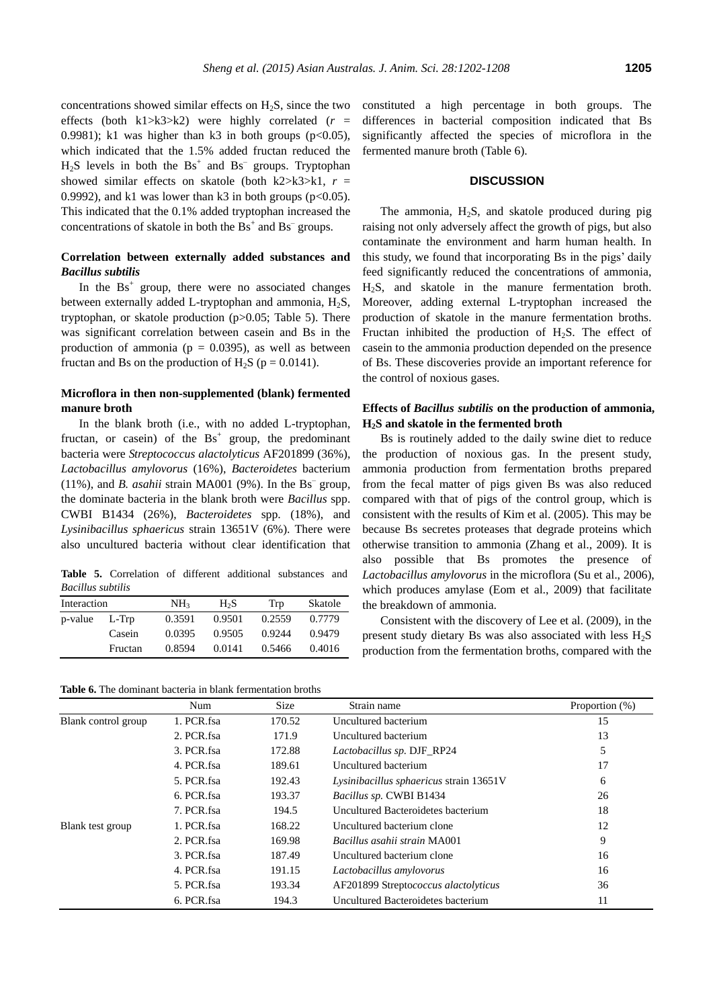concentrations showed similar effects on  $H_2S$ , since the two effects (both k1 $>\kappa$ 3 $>\kappa$ 2) were highly correlated ( $r =$ 0.9981); k1 was higher than k3 in both groups ( $p<0.05$ ), which indicated that the 1.5% added fructan reduced the  $H<sub>2</sub>S$  levels in both the  $Bs<sup>+</sup>$  and  $Bs<sup>-</sup>$  groups. Tryptophan showed similar effects on skatole (both k2>k3>k1,  $r =$ 0.9992), and k1 was lower than k3 in both groups ( $p<0.05$ ). This indicated that the 0.1% added tryptophan increased the concentrations of skatole in both the  $\text{Bs}^+$  and  $\text{Bs}^-$  groups.

## **Correlation between externally added substances and**  *Bacillus subtilis*

In the  $\text{Bs}^+$  group, there were no associated changes between externally added L-tryptophan and ammonia,  $H_2S$ , tryptophan, or skatole production (p>0.05; Table 5). There was significant correlation between casein and Bs in the production of ammonia ( $p = 0.0395$ ), as well as between fructan and Bs on the production of H<sub>2</sub>S ( $p = 0.0141$ ).

## **Microflora in then non-supplemented (blank) fermented manure broth**

In the blank broth (i.e., with no added L-tryptophan, fructan, or casein) of the  $\text{Bs}^+$  group, the predominant bacteria were *Streptococcus alactolyticus* AF201899 (36%), *Lactobacillus amylovorus* (16%), *Bacteroidetes* bacterium  $(11\%)$ , and *B. asahii* strain MA001 (9%). In the Bs<sup>-</sup> group, the dominate bacteria in the blank broth were *Bacillus* spp. CWBI B1434 (26%), *Bacteroidetes* spp. (18%), and *Lysinibacillus sphaericus* strain 13651V (6%). There were also uncultured bacteria without clear identification that

**Table 5.** Correlation of different additional substances and *Bacillus subtilis*

| Interaction |         | NH <sub>3</sub> | H <sub>2</sub> S | Trp    | Skatole |
|-------------|---------|-----------------|------------------|--------|---------|
| p-value     | $L-Trp$ | 0.3591          | 0.9501           | 0.2559 | 0.7779  |
|             | Casein  | 0.0395          | 0.9505           | 0.9244 | 0.9479  |
|             | Fructan | 0.8594          | 0.0141           | 0.5466 | 0.4016  |

**Table 6.** The dominant bacteria in blank fermentation broths

constituted a high percentage in both groups. The differences in bacterial composition indicated that Bs significantly affected the species of microflora in the fermented manure broth (Table 6).

## **DISCUSSION**

The ammonia,  $H<sub>2</sub>S$ , and skatole produced during pig raising not only adversely affect the growth of pigs, but also contaminate the environment and harm human health. In this study, we found that incorporating Bs in the pigs' daily feed significantly reduced the concentrations of ammonia, H2S, and skatole in the manure fermentation broth. Moreover, adding external L-tryptophan increased the production of skatole in the manure fermentation broths. Fructan inhibited the production of  $H_2S$ . The effect of casein to the ammonia production depended on the presence of Bs. These discoveries provide an important reference for the control of noxious gases.

# **Effects of** *Bacillus subtilis* **on the production of ammonia, H2S and skatole in the fermented broth**

Bs is routinely added to the daily swine diet to reduce the production of noxious gas. In the present study, ammonia production from fermentation broths prepared from the fecal matter of pigs given Bs was also reduced compared with that of pigs of the control group, which is consistent with the results of Kim et al. (2005). This may be because Bs secretes proteases that degrade proteins which otherwise transition to ammonia (Zhang et al., 2009). It is also possible that Bs promotes the presence of *Lactobacillus amylovorus* in the microflora (Su et al., 2006), which produces amylase (Eom et al., 2009) that facilitate the breakdown of ammonia.

Consistent with the discovery of Lee et al. (2009), in the present study dietary Bs was also associated with less  $H_2S$ production from the fermentation broths, compared with the

|                     | Num        | <b>Size</b> | Strain name                             | Proportion (%) |
|---------------------|------------|-------------|-----------------------------------------|----------------|
| Blank control group | 1. PCR.fsa | 170.52      | Uncultured bacterium                    | 15             |
|                     | 2. PCR.fsa | 171.9       | Uncultured bacterium                    | 13             |
|                     | 3. PCR fsa | 172.88      | <i>Lactobacillus sp. DJF_RP24</i>       | 5              |
|                     | 4. PCR.fsa | 189.61      | Uncultured bacterium                    | 17             |
|                     | 5. PCR fsa | 192.43      | Lysinibacillus sphaericus strain 13651V | 6              |
|                     | 6. PCR fsa | 193.37      | Bacillus sp. CWBI B1434                 | 26             |
|                     | 7. PCR.fsa | 194.5       | Uncultured Bacteroidetes bacterium      | 18             |
| Blank test group    | 1. PCR.fsa | 168.22      | Uncultured bacterium clone              | 12             |
|                     | 2. PCR.fsa | 169.98      | <i>Bacillus asahii strain MA001</i>     | 9              |
|                     | 3. PCR.fsa | 187.49      | Uncultured bacterium clone              | 16             |
|                     | 4. PCR.fsa | 191.15      | Lactobacillus amylovorus                | 16             |
|                     | 5. PCR.fsa | 193.34      | AF201899 Streptococcus alactolyticus    | 36             |
|                     | 6. PCR.fsa | 194.3       | Uncultured Bacteroidetes bacterium      | 11             |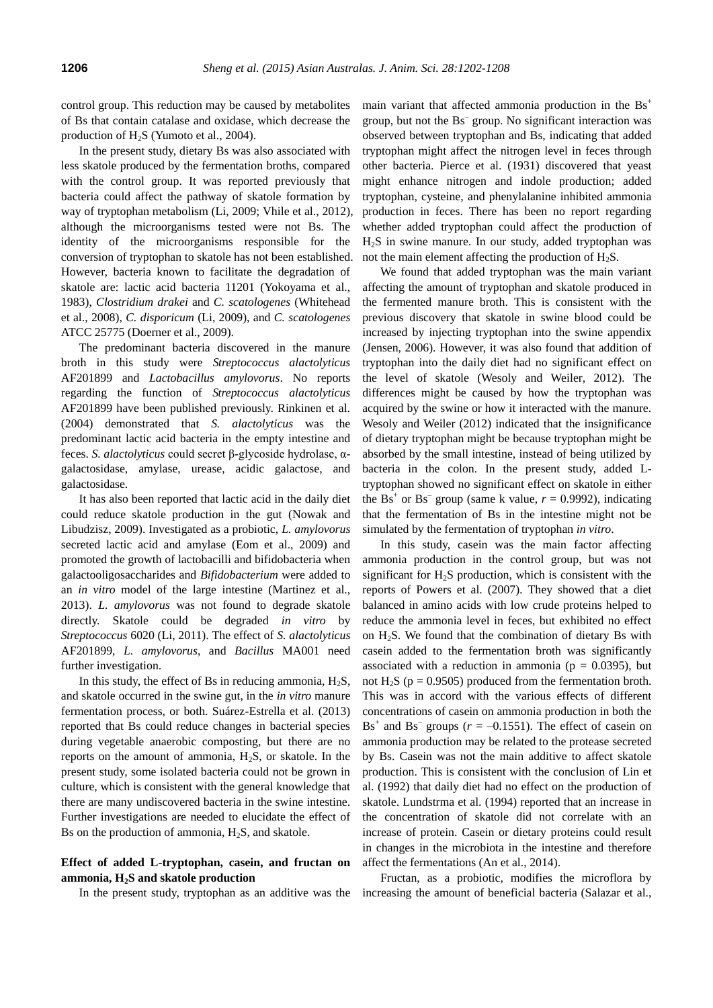control group. This reduction may be caused by metabolites of Bs that contain catalase and oxidase, which decrease the production of H<sub>2</sub>S (Yumoto et al., 2004).

In the present study, dietary Bs was also associated with less skatole produced by the fermentation broths, compared with the control group. It was reported previously that bacteria could affect the pathway of skatole formation by way of tryptophan metabolism (Li, 2009; Vhile et al., 2012), although the microorganisms tested were not Bs. The identity of the microorganisms responsible for the conversion of tryptophan to skatole has not been established. However, bacteria known to facilitate the degradation of skatole are: lactic acid bacteria 11201 (Yokoyama et al., 1983), *Clostridium drakei* and *C. scatologenes* (Whitehead et al., 2008), *C. disporicum* (Li, 2009), and *C. scatologenes* ATCC 25775 (Doerner et al., 2009).

The predominant bacteria discovered in the manure broth in this study were *Streptococcus alactolyticus* AF201899 and *Lactobacillus amylovorus*. No reports regarding the function of *Streptococcus alactolyticus* AF201899 have been published previously. Rinkinen et al. (2004) demonstrated that *S. alactolyticus* was the predominant lactic acid bacteria in the empty intestine and feces. *S. alactolyticus* could secret β-glycoside hydrolase, αgalactosidase, amylase, urease, acidic galactose, and galactosidase.

It has also been reported that lactic acid in the daily diet could reduce skatole production in the gut (Nowak and Libudzisz, 2009). Investigated as a probiotic, *L. amylovorus* secreted lactic acid and amylase (Eom et al., 2009) and promoted the growth of lactobacilli and bifidobacteria when galactooligosaccharides and *Bifidobacterium* were added to an *in vitro* model of the large intestine (Martinez et al., 2013). *L. amylovorus* was not found to degrade skatole directly. Skatole could be degraded *in vitro* by *Streptococcus* 6020 (Li, 2011). The effect of *S. alactolyticus* AF201899, *L. amylovorus*, and *Bacillus* MA001 need further investigation.

In this study, the effect of Bs in reducing ammonia,  $H_2S$ , and skatole occurred in the swine gut, in the *in vitro* manure fermentation process, or both. Suárez-Estrella et al. (2013) reported that Bs could reduce changes in bacterial species during vegetable anaerobic composting, but there are no reports on the amount of ammonia,  $H_2S$ , or skatole. In the present study, some isolated bacteria could not be grown in culture, which is consistent with the general knowledge that there are many undiscovered bacteria in the swine intestine. Further investigations are needed to elucidate the effect of Bs on the production of ammonia,  $H_2S$ , and skatole.

## **Effect of added L-tryptophan, casein, and fructan on ammonia, H2S and skatole production**

main variant that affected ammonia production in the  $\text{Bs}^+$ group, but not the Bs– group. No significant interaction was observed between tryptophan and Bs, indicating that added tryptophan might affect the nitrogen level in feces through other bacteria. Pierce et al. (1931) discovered that yeast might enhance nitrogen and indole production; added tryptophan, cysteine, and phenylalanine inhibited ammonia production in feces. There has been no report regarding whether added tryptophan could affect the production of H2S in swine manure. In our study, added tryptophan was not the main element affecting the production of  $H_2S$ .

We found that added tryptophan was the main variant affecting the amount of tryptophan and skatole produced in the fermented manure broth. This is consistent with the previous discovery that skatole in swine blood could be increased by injecting tryptophan into the swine appendix (Jensen, 2006). However, it was also found that addition of tryptophan into the daily diet had no significant effect on the level of skatole (Wesoly and Weiler, 2012). The differences might be caused by how the tryptophan was acquired by the swine or how it interacted with the manure. Wesoly and Weiler (2012) indicated that the insignificance of dietary tryptophan might be because tryptophan might be absorbed by the small intestine, instead of being utilized by bacteria in the colon. In the present study, added Ltryptophan showed no significant effect on skatole in either the Bs<sup>+</sup> or Bs<sup>-</sup> group (same k value,  $r = 0.9992$ ), indicating that the fermentation of Bs in the intestine might not be simulated by the fermentation of tryptophan *in vitro*.

In this study, casein was the main factor affecting ammonia production in the control group, but was not significant for  $H<sub>2</sub>S$  production, which is consistent with the reports of Powers et al. (2007). They showed that a diet balanced in amino acids with low crude proteins helped to reduce the ammonia level in feces, but exhibited no effect on  $H_2S$ . We found that the combination of dietary Bs with casein added to the fermentation broth was significantly associated with a reduction in ammonia ( $p = 0.0395$ ), but not H<sub>2</sub>S ( $p = 0.9505$ ) produced from the fermentation broth. This was in accord with the various effects of different concentrations of casein on ammonia production in both the Bs<sup>+</sup> and Bs<sup>-</sup> groups ( $r = -0.1551$ ). The effect of casein on ammonia production may be related to the protease secreted by Bs. Casein was not the main additive to affect skatole production. This is consistent with the conclusion of Lin et al. (1992) that daily diet had no effect on the production of skatole. Lundstrma et al. (1994) reported that an increase in the concentration of skatole did not correlate with an increase of protein. Casein or dietary proteins could result in changes in the microbiota in the intestine and therefore affect the fermentations (An et al., 2014).

In the present study, tryptophan as an additive was the increasing the amount of beneficial bacteria (Salazar et al., Fructan, as a probiotic, modifies the microflora by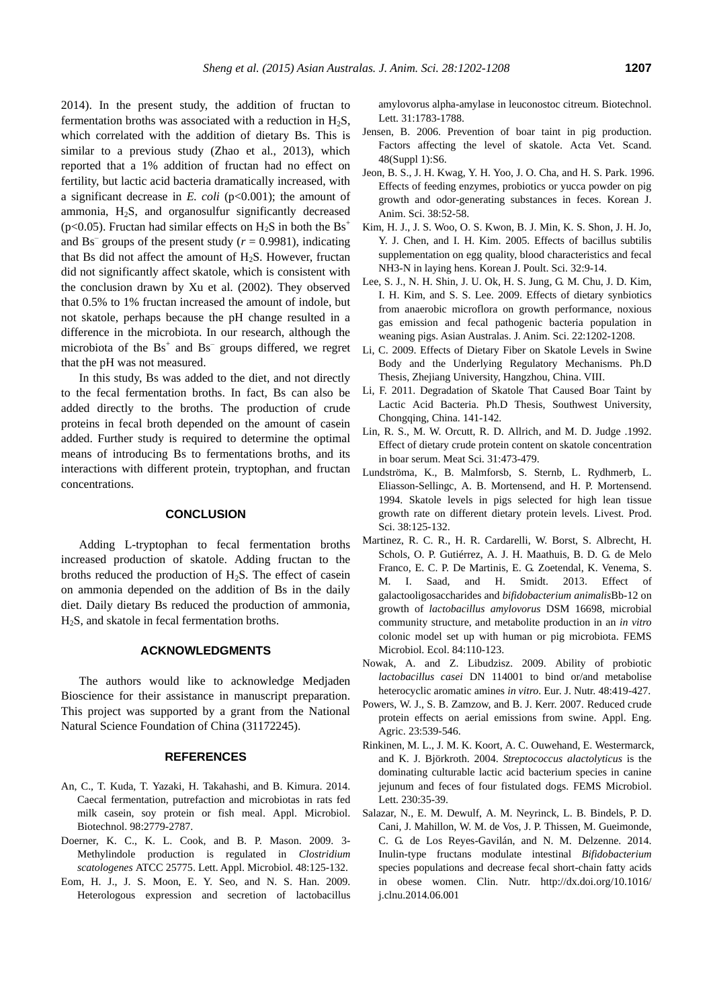2014). In the present study, the addition of fructan to fermentation broths was associated with a reduction in  $H_2S$ , which correlated with the addition of dietary Bs. This is similar to a previous study (Zhao et al., 2013), which reported that a 1% addition of fructan had no effect on fertility, but lactic acid bacteria dramatically increased, with a significant decrease in *E. coli* (p<0.001); the amount of ammonia,  $H<sub>2</sub>S$ , and organosulfur significantly decreased (p<0.05). Fructan had similar effects on  $H_2S$  in both the  $Bs^+$ and  $\text{Bs}^-$  groups of the present study ( $r = 0.9981$ ), indicating that Bs did not affect the amount of  $H_2S$ . However, fructan did not significantly affect skatole, which is consistent with the conclusion drawn by Xu et al. (2002). They observed that 0.5% to 1% fructan increased the amount of indole, but not skatole, perhaps because the pH change resulted in a difference in the microbiota. In our research, although the microbiota of the  $\text{Bs}^+$  and  $\text{Bs}^-$  groups differed, we regret that the pH was not measured.

In this study, Bs was added to the diet, and not directly to the fecal fermentation broths. In fact, Bs can also be added directly to the broths. The production of crude proteins in fecal broth depended on the amount of casein added. Further study is required to determine the optimal means of introducing Bs to fermentations broths, and its interactions with different protein, tryptophan, and fructan concentrations.

#### **CONCLUSION**

Adding L-tryptophan to fecal fermentation broths increased production of skatole. Adding fructan to the broths reduced the production of  $H_2S$ . The effect of casein on ammonia depended on the addition of Bs in the daily diet. Daily dietary Bs reduced the production of ammonia, H2S, and skatole in fecal fermentation broths.

# **ACKNOWLEDGMENTS**

The authors would like to acknowledge Medjaden Bioscience for their assistance in manuscript preparation. This project was supported by a grant from the National Natural Science Foundation of China (31172245).

#### **REFERENCES**

- An, C., T. Kuda, T. Yazaki, H. Takahashi, and B. Kimura. 2014. [Caecal fermentation, putrefaction and microbiotas in rats fed](http://link.springer.com/article/10.1007/s00253-013-5271-5)  [milk casein, soy protein or fish meal.](http://link.springer.com/article/10.1007/s00253-013-5271-5) Appl. Microbiol. Biotechnol. 98:2779-2787.
- Doerner, K. C., K. L. Cook, and B. P. Mason. 2009. [3-](http://onlinelibrary.wiley.com/doi/10.1111/j.1472-765X.2008.02502.x/full) [Methylindole production is regulated in](http://onlinelibrary.wiley.com/doi/10.1111/j.1472-765X.2008.02502.x/full) *Clostridium scatologenes* [ATCC 25775.](http://onlinelibrary.wiley.com/doi/10.1111/j.1472-765X.2008.02502.x/full) Lett. Appl. Microbiol. 48:125-132.
- Eom, H. J., J. S. Moon, E. Y. Seo, and N. S. Han. 2009. [Heterologous expression and secretion of lactobacillus](http://www.ncbi.nlm.nih.gov/pubmed/19618275)

[amylovorus alpha-amylase in leuconostoc citreum.](http://www.ncbi.nlm.nih.gov/pubmed/19618275) Biotechnol. Lett. 31:1783-1788.

- Jensen, B. 2006. [Prevention of boar taint in pig production.](http://www.biomedcentral.com/content/pdf/1751-0147-48-S1-S6.pdf)  [Factors affecting the level of skatole.](http://www.biomedcentral.com/content/pdf/1751-0147-48-S1-S6.pdf) Acta Vet. Scand. 48(Suppl 1):S6.
- Jeon, B. S., J. H. Kwag, Y. H. Yoo, J. O. Cha, and H. S. Park. 1996. Effects of feeding enzymes, probiotics or yucca powder on pig growth and odor-generating substances in feces. Korean J. Anim. Sci. 38:52-58.
- Kim, H. J., J. S. Woo, O. S. Kwon, B. J. Min, K. S. Shon, J. H. Jo, Y. J. Chen, and I. H. Kim. 2005. Effects of bacillus subtilis supplementation on egg quality, blood characteristics and fecal NH3-N in laying hens. Korean J. Poult. Sci. 32:9-14.
- Lee, S. J., N. H. Shin, J. U. Ok, H. S. Jung, G. M. Chu, J. D. Kim, I. H. Kim, and S. S. Lee. 2009. [Effects of dietary synbiotics](http://www.ajas.info/journal/view.php?number=22149)  [from anaerobic microflora on growth performance, noxious](http://www.ajas.info/journal/view.php?number=22149)  [gas emission and fecal pathogenic bacteria population in](http://www.ajas.info/journal/view.php?number=22149)  [weaning pigs.](http://www.ajas.info/journal/view.php?number=22149) Asian Australas. J. Anim. Sci. 22:1202-1208.
- Li, C. 2009. Effects of Dietary Fiber on Skatole Levels in Swine Body and the Underlying Regulatory Mechanisms. Ph.D Thesis, Zhejiang University, Hangzhou, China. VIII.
- Li, F. 2011. Degradation of Skatole That Caused Boar Taint by Lactic Acid Bacteria. Ph.D Thesis, Southwest University, Chongqing, China. 141-142.
- Lin, R. S., M. W. Orcutt, R. D. Allrich, and M. D. Judge .1992. [Effect of dietary crude protein content on skatole concentration](http://www.sciencedirect.com/science/article/pii/0309174092900294)  [in boar serum.](http://www.sciencedirect.com/science/article/pii/0309174092900294) Meat Sci. 31:473-479.
- Lundströma, K., B. Malmforsb, S. Sternb, L. Rydhmerb, L. Eliasson-Sellingc, A. B. Mortensend, and H. P. Mortensend. 1994. [Skatole levels in pigs selected for high lean tissue](http://www.sciencedirect.com/science/article/pii/0301622694900566)  [growth rate on different dietary protein levels.](http://www.sciencedirect.com/science/article/pii/0301622694900566) Livest. Prod. Sci. 38:125-132.
- Martinez, R. C. R., H. R. Cardarelli, W. Borst, S. Albrecht, H. Schols, O. P. Gutiérrez, A. J. H. Maathuis, B. D. G. de Melo Franco, E. C. P. De Martinis, E. G. Zoetendal, K. Venema, S. M. I. Saad, and H. Smidt. 2013. [Effect of](http://femsec.oxfordjournals.org/content/84/1/110.abstract)  [galactooligosaccharides and](http://femsec.oxfordjournals.org/content/84/1/110.abstract) *bifidobacterium animalis*Bb-12 on growth of *[lactobacillus amylovorus](http://femsec.oxfordjournals.org/content/84/1/110.abstract)* DSM 16698, microbial [community structure, and metabolite production in an](http://femsec.oxfordjournals.org/content/84/1/110.abstract) *in vitro* [colonic model set up with human or pig microbiota.](http://femsec.oxfordjournals.org/content/84/1/110.abstract) FEMS Microbiol. Ecol. 84:110-123.
- Nowak, A. and Z. Libudzisz. 2009. [Ability of probiotic](http://link.springer.com/article/10.1007/s00394-009-0030-1)  *lactobacillus casei* [DN 114001 to bind or/and metabolise](http://link.springer.com/article/10.1007/s00394-009-0030-1)  [heterocyclic aromatic amines](http://link.springer.com/article/10.1007/s00394-009-0030-1) *in vitro*. Eur. J. Nutr. 48:419-427.
- Powers, W. J., S. B. Zamzow, and B. J. Kerr. 2007. [Reduced crude](http://www.prairieswine.com/pdf/38782.pdf)  [protein effects on aerial emissions from swine.](http://www.prairieswine.com/pdf/38782.pdf) Appl. Eng. Agric. 23:539-546.
- Rinkinen, M. L., J. M. K. Koort, A. C. Ouwehand, E. Westermarck, and K. J. Björkroth. 2004. *[Streptococcus alactolyticus](http://femsle.oxfordjournals.org/content/230/1/35.abstract)* is the [dominating culturable lactic acid bacterium species in canine](http://femsle.oxfordjournals.org/content/230/1/35.abstract)  [jejunum and feces of four fistulated dogs.](http://femsle.oxfordjournals.org/content/230/1/35.abstract) FEMS Microbiol. Lett. 230:35-39.
- Salazar, N., E. M. Dewulf, A. M. Neyrinck, L. B. Bindels, P. D. Cani, J. Mahillon, W. M. de Vos, J. P. Thissen, M. Gueimonde, C. G. de Los Reyes-Gavilán, and N. M. Delzenne. 2014. [Inulin-type fructans modulate intestinal](http://www.sciencedirect.com/science/article/pii/S0261561414001599) *Bifidobacterium* [species populations and decrease fecal short-chain fatty acids](http://www.sciencedirect.com/science/article/pii/S0261561414001599)  [in obese women.](http://www.sciencedirect.com/science/article/pii/S0261561414001599) Clin. Nutr. http://dx.doi.org/10.1016/ j.clnu.2014.06.001